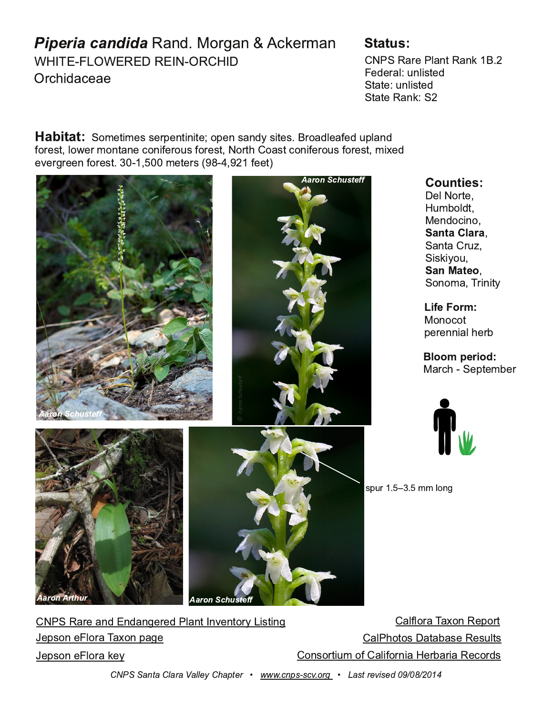## $8*6$ - "790\*6, 3.95 \*6

 $(15)$  & & # \$ &  $$912$ \*, .\*.

#% &\*9 % #6; &\*63  $. -.94 < 64$ ;  $^{\prime}$ ;  $^{\star}$ ; <64; - $';$  ;  $\cdot$  ; &  $*$  63

 $'$  75. ; 25. : : . 98. 6; 262. 78. 6: \* 6-  $\textcircled{2}$  2. : 97\* - 4 \*/. - < 846- $79$ :;  $4$  >  $.95$  76;\* 6., 762.  $9$  <:  $79$ :;  $\# 791$   $7$ \*:;, 762.  $9$  <:  $79$ :; 52.  $. = 909.679$ ; 5.; 9  $\frac{1}{2}$ 

> $.4#79.$  $<$ 5 +74;  $" 0.6 - 7, 267$

 $' * 6; *$  9  $+A$  $' 23207 <$ 

 $'7675'$  (9062 $@$ 

 $"767,7;$  $8.966241.9 +$ 

" \* 9 1 ' . 8;  $5 + 9$ 

:8<9  $C$  55  $4760$ 

| $\#$ % & $*$ 9 $*$ 6- 6- $*$ 60. 9 - %4 6; 6= 6;79@ 2;260 |  | <i>* 44</i> 79* ( <i>*</i> ?76 &. 879 |
|-----------------------------------------------------------|--|---------------------------------------|
| $.8:76$ . 479* (* ?76.8* 0.                               |  | $*4/617$ ; $7: * * * * : 8. : < 4:$   |
| $8:76$ $49^\circ$ 3. $@$                                  |  | 76:792≿5 7/ *427962* .9+*92*&79:      |